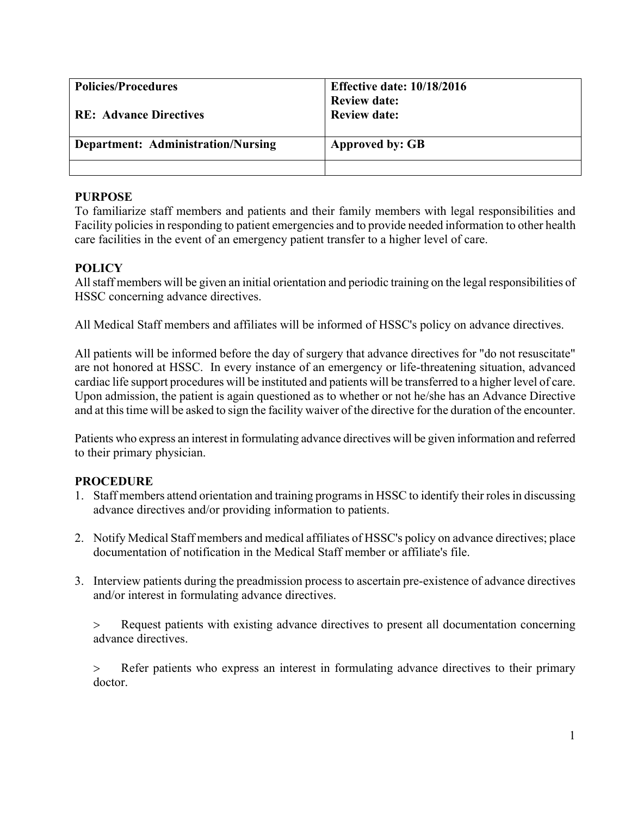| <b>Policies/Procedures</b>                | <b>Effective date: 10/18/2016</b><br><b>Review date:</b> |
|-------------------------------------------|----------------------------------------------------------|
| <b>RE: Advance Directives</b>             | <b>Review date:</b>                                      |
| <b>Department: Administration/Nursing</b> | <b>Approved by: GB</b>                                   |
|                                           |                                                          |

### **PURPOSE**

To familiarize staff members and patients and their family members with legal responsibilities and Facility policies in responding to patient emergencies and to provide needed information to other health care facilities in the event of an emergency patient transfer to a higher level of care.

## **POLICY**

All staff members will be given an initial orientation and periodic training on the legal responsibilities of HSSC concerning advance directives.

All Medical Staff members and affiliates will be informed of HSSC's policy on advance directives.

All patients will be informed before the day of surgery that advance directives for "do not resuscitate" are not honored at HSSC. In every instance of an emergency or life-threatening situation, advanced cardiac life support procedures will be instituted and patients will be transferred to a higher level of care. Upon admission, the patient is again questioned as to whether or not he/she has an Advance Directive and at this time will be asked to sign the facility waiver of the directive for the duration of the encounter.

Patients who express an interest in formulating advance directives will be given information and referred to their primary physician.

## **PROCEDURE**

- 1. Staff members attend orientation and training programs in HSSC to identify their roles in discussing advance directives and/or providing information to patients.
- 2. Notify Medical Staff members and medical affiliates of HSSC's policy on advance directives; place documentation of notification in the Medical Staff member or affiliate's file.
- 3. Interview patients during the preadmission process to ascertain pre-existence of advance directives and/or interest in formulating advance directives.

> Request patients with existing advance directives to present all documentation concerning advance directives.

> Refer patients who express an interest in formulating advance directives to their primary doctor.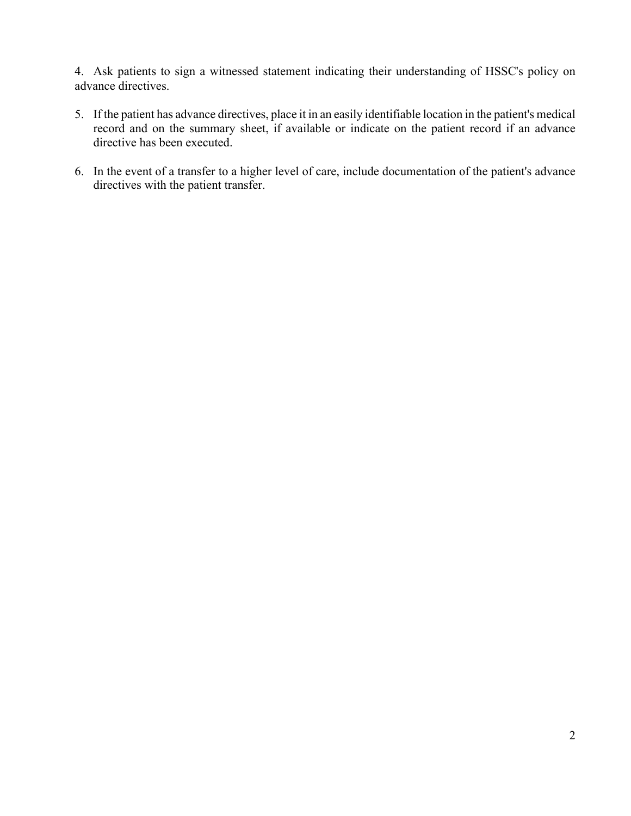4. Ask patients to sign a witnessed statement indicating their understanding of HSSC's policy on advance directives.

- 5. If the patient has advance directives, place it in an easily identifiable location in the patient's medical record and on the summary sheet, if available or indicate on the patient record if an advance directive has been executed.
- 6. In the event of a transfer to a higher level of care, include documentation of the patient's advance directives with the patient transfer.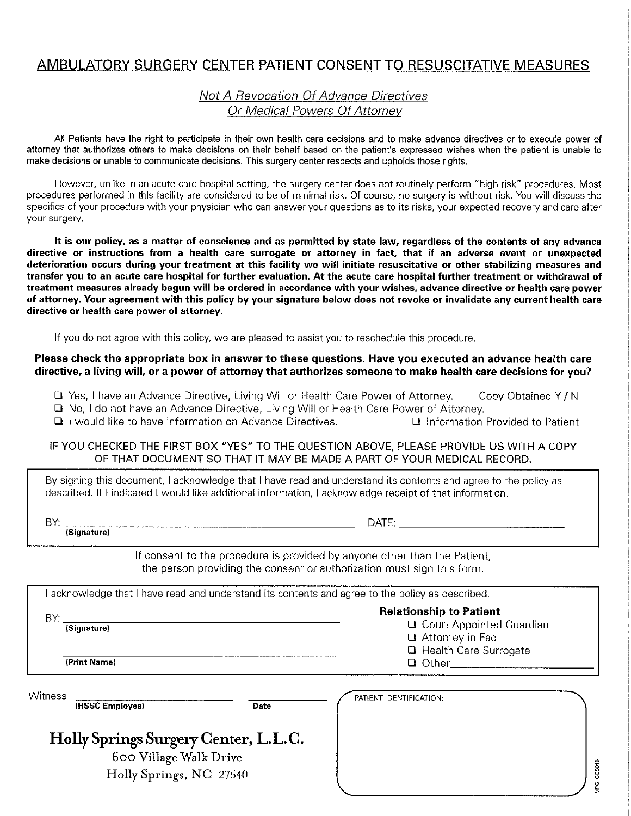## AMBULATORY SURGERY CENTER PATIENT CONSENT TO RESUSCITATIVE MEASURES

## Not A Revocation Of Advance Directives Or Medical Powers Of Attorney

All Patients have the right to participate in their own health care decisions and to make advance directives or to execute power of attorney that authorizes others to make decisions on their behalf based on the patient's expressed wishes when the patient is unable to make decisions or unable to communicate decisions. This surgery center respects and upholds those rights.

However, unlike in an acute care hospital setting, the surgery center does not routinely perform "high risk" procedures. Most procedures performed in this facility are considered to be of minimal risk. Of course, no surgery is without risk. You will discuss the specifics of your procedure with your physician who can answer your questions as to its risks, your expected recovery and care after your surgery.

It is our policy, as a matter of conscience and as permitted by state law, regardless of the contents of any advance directive or instructions from a health care surrogate or attorney in fact, that if an adverse event or unexpected deterioration occurs during your treatment at this facility we will initiate resuscitative or other stabilizing measures and transfer you to an acute care hospital for further evaluation. At the acute care hospital further treatment or withdrawal of treatment measures already begun will be ordered in accordance with your wishes, advance directive or health care power of attorney. Your agreement with this policy by your signature below does not revoke or invalidate any current health care directive or health care power of attorney.

If you do not agree with this policy, we are pleased to assist you to reschedule this procedure.

#### Please check the appropriate box in answer to these questions. Have you executed an advance health care directive, a living will, or a power of attorney that authorizes someone to make health care decisions for you?

T Yes, I have an Advance Directive, Living Will or Health Care Power of Attorney. Copy Obtained Y/N

No. I do not have an Advance Directive, Living Will or Health Care Power of Attorney.

I I would like to have information on Advance Directives. Information Provided to Patient

#### IF YOU CHECKED THE FIRST BOX "YES" TO THE QUESTION ABOVE, PLEASE PROVIDE US WITH A COPY OF THAT DOCUMENT SO THAT IT MAY BE MADE A PART OF YOUR MEDICAL RECORD.

By signing this document, I acknowledge that I have read and understand its contents and agree to the policy as described. If I indicated I would like additional information. I acknowledge receipt of that information.

BY:

DATE: **Example 2014** 

(Signature)

If consent to the procedure is provided by anyone other than the Patient,

the person providing the consent or authorization must sign this form.

I acknowledge that I have read and understand its contents and agree to the policy as described.

**Relationship to Patient** BY: Q Court Appointed Guardian (Signature) Attorney in Fact **Q** Health Care Surrogate

(Print Name)

Witness: (HSSC Employee)

**Date** 

## Holly Springs Surgery Center, L.L.C.

600 Village Walk Drive Holly Springs, NC 27540

| PATIENT IDENTIFICATION: |  |
|-------------------------|--|
|                         |  |
|                         |  |
|                         |  |
|                         |  |
|                         |  |
|                         |  |
|                         |  |
|                         |  |
|                         |  |
| ×                       |  |

MPG\_CCS018

Q Other